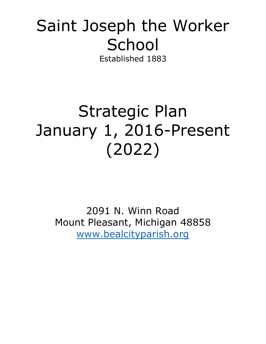# Saint Joseph the Worker **School** Established 1883

# Strategic Plan January 1, 2016-Present (2022)

2091 N. Winn Road Mount Pleasant, Michigan 48858 [www.bealcityparish.org](http://www.bealcityparish.org/)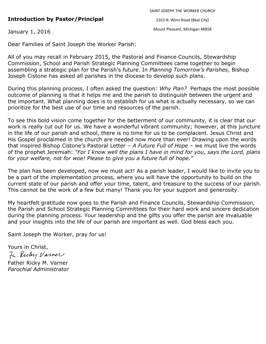# **Introduction by Pastor/Principal**

2163 N. Winn Road (Beal City)

January 1, 2016

Mount Pleasant, Michigan 48858

Dear Families of Saint Joseph the Worker Parish:

All of you may recall in February 2015, the Pastoral and Finance Councils, Stewardship Commission, School and Parish Strategic Planning Committees came together to begin assembling a strategic plan for the Parish's future. In *Planning Tomorrow's Parishes*, Bishop Joseph Cistone has asked all parishes in the diocese to develop such plans.

During this planning process, I often asked the question: *Why Plan?* Perhaps the most possible outcome of planning is that it helps me and the parish to distinguish between the urgent and the important. What planning does is to establish for us what is actually necessary, so we can prioritize for the best use of our time and resources of the parish.

To see this bold vision come together for the betterment of our community, it is clear that our work is really cut out for us. We have a wonderful vibrant community; however, at this juncture in the life of our parish and school, there is no time for us to be complacent. Jesus Christ and His Gospel proclaimed in the church are needed now more than ever! Drawing upon the words that inspired Bishop Cistone's Pastoral Letter – *A Future Full of Hope* – we must live the words of the prophet Jeremiah: *"For I know well the plans I have in mind for you, says the Lord, plans for your welfare, not for woe! Please to give you a future full of hope."*

The plan has been developed, now we must act! As a parish leader, I would like to invite you to be a part of the implementation process, where you will have the opportunity to build on the current state of our parish and offer your time, talent, and treasure to the success of our parish. This cannot be the work of a few but many! Thank you for your support and generosity.

My heartfelt gratitude now goes to the Parish and Finance Councils, Stewardship Commission, the Parish and School Strategic Planning Committees for their hard work and sincere dedication during the planning process. Your leadership and the gifts you offer the parish are invaluable and your insights into the life of our parish are important as well. God bless each you.

Saint Joseph the Worker, pray for us!

Yours in Christ, 7. Richy Varner Father Ricky M. Varner *Parochial Administrator*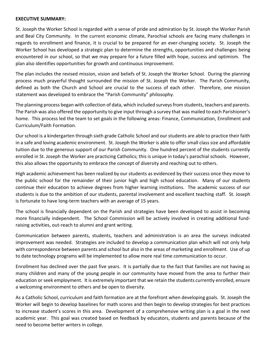#### **EXECUTIVE SUMMARY:**

St. Joseph the Worker School is regarded with a sense of pride and admiration by St. Joseph the Worker Parish and Beal City Community. In the current economic climate, Parochial schools are facing many challenges in regards to enrollment and finance, it is crucial to be prepared for an ever-changing society. St. Joseph the Worker School has developed a strategic plan to determine the strengths, opportunities and challenges being encountered in our school, so that we may prepare for a future filled with hope, success and optimism. The plan also identifies opportunities for growth and continuous improvement.

The plan includes the revised mission, vision and beliefs of St. Joseph the Worker School. During the planning process much prayerful thought surrounded the mission of St. Joseph the Worker. The Parish Community, defined as both the Church and School are crucial to the success of each other. Therefore, one mission statement was developed to embrace the "Parish Community" philosophy.

The planning process began with collection of data, which included surveys from students, teachers and parents. The Parish was also offered the opportunity to give input through a survey that was mailed to each Parishioner's home. This process led the team to set goals in the following areas: Finance, Communication, Enrollment and Curriculum/Faith Formation.

Our school is a kindergarten through sixth grade Catholic School and our students are able to practice their faith in a safe and loving academic environment. St. Joseph the Worker is able to offer small class size and affordable tuition due to the generous support of our Parish Community. One hundred percent of the students currently enrolled in St. Joseph the Worker are practicing Catholics; this is unique in today's parochial schools. However, this also allows the opportunity to embrace the concept of diversity and reaching out to others.

High academic achievement has been realized by our students as evidenced by their success once they move to the public school for the remainder of their junior high and high school education. Many of our students continue their education to achieve degrees from higher learning institutions. The academic success of our students is due to the ambition of our students, parental involvement and excellent teaching staff. St. Joseph is fortunate to have long-term teachers with an average of 15 years.

The school is financially dependent on the Parish and strategies have been developed to assist in becoming more financially independent. The School Commission will be actively involved in creating additional fundraising activities, out-reach to alumni and grant writing.

Communication between parents, students, teachers and administration is an area the surveys indicated improvement was needed. Strategies are included to develop a communication plan which will not only help with correspondence between parents and school but also in the areas of marketing and enrollment. Use of up to date technology programs will be implemented to allow more real time communication to occur.

Enrollment has declined over the past five years. It is partially due to the fact that families are not having as many children and many of the young people in our community have moved from the area to further their education or seek employment. It is extremely important that we retain the students currently enrolled, ensure a welcoming environment to others and be open to diversity.

As a Catholic School, curriculum and faith formation are at the forefront when developing goals. St. Joseph the Worker will begin to develop baselines for math scores and then begin to develop strategies for best practices to increase student's scores in this area. Development of a comprehensive writing plan is a goal in the next academic year. This goal was created based on feedback by educators, students and parents because of the need to become better writers in college.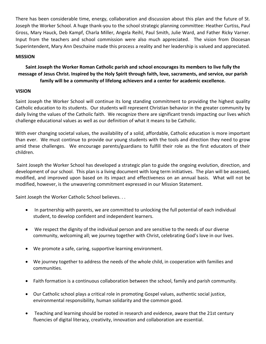There has been considerable time, energy, collaboration and discussion about this plan and the future of St. Joseph the Worker School. A huge thank-you to the school strategic planning committee: Heather Curtiss, Paul Gross, Mary Hauck, Deb Kampf, Charla Miller, Angela Reihl, Paul Smith, Julie Ward, and Father Ricky Varner. Input from the teachers and school commission were also much appreciated. The vision from Diocesan Superintendent, Mary Ann Deschaine made this process a reality and her leadership is valued and appreciated.

# **MISSION**

# **Saint Joseph the Worker Roman Catholic parish and school encourages its members to live fully the message of Jesus Christ. Inspired by the Holy Spirit through faith, love, sacraments, and service, our parish family will be a community of lifelong achievers and a center for academic excellence.**

## **VISION**

Saint Joseph the Worker School will continue its long standing commitment to providing the highest quality Catholic education to its students. Our students will represent Christian behavior in the greater community by daily living the values of the Catholic faith. We recognize there are significant trends impacting our lives which challenge educational values as well as our definition of what it means to be Catholic.

With ever changing societal values, the availability of a solid, affordable, Catholic education is more important than ever. We must continue to provide our young students with the tools and direction they need to grow amid these challenges. We encourage parents/guardians to fulfill their role as the first educators of their children.

Saint Joseph the Worker School has developed a strategic plan to guide the ongoing evolution, direction, and development of our school. This plan is a living document with long term initiatives. The plan will be assessed, modified, and improved upon based on its impact and effectiveness on an annual basis. What will not be modified, however, is the unwavering commitment expressed in our Mission Statement.

Saint Joseph the Worker Catholic School believes. . .

- In partnership with parents, we are committed to unlocking the full potential of each individual student, to develop confident and independent learners.
- We respect the dignity of the individual person and are sensitive to the needs of our diverse community, welcoming all; we journey together with Christ, celebrating God's love in our lives.
- We promote a safe, caring, supportive learning environment.
- We journey together to address the needs of the whole child, in cooperation with families and communities.
- Faith formation is a continuous collaboration between the school, family and parish community.
- Our Catholic school plays a critical role in promoting Gospel values, authentic social justice, environmental responsibility, human solidarity and the common good.
- Teaching and learning should be rooted in research and evidence, aware that the 21st century fluencies of digital literacy, creativity, innovation and collaboration are essential.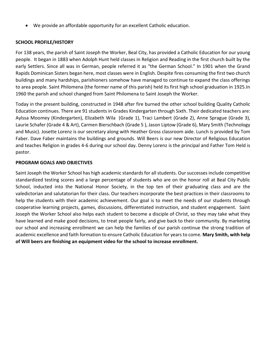We provide an affordable opportunity for an excellent Catholic education.

## **SCHOOL PROFILE/HISTORY**

For 138 years, the parish of Saint Joseph the Worker, Beal City, has provided a Catholic Education for our young people. It began in 1883 when Adolph Hunt held classes in Religion and Reading in the first church built by the early Settlers. Since all was in German, people referred it as "the German School." In 1901 when the Grand Rapids Dominican Sisters began here, most classes were in English. Despite fires consuming the first two church buildings and many hardships, parishioners somehow have managed to continue to expand the class offerings to area people. Saint Philomena (the former name of this parish) held its first high school graduation in 1925.In 1960 the parish and school changed from Saint Philomena to Saint Joseph the Worker.

Today in the present building, constructed in 1948 after fire burned the other school building Quality Catholic Education continues. There are 91 students in Grades Kindergarten through Sixth. Their dedicated teachers are: Aylssa Moomey (Kindergarten), Elizabeth Wila (Grade 1), Traci Lambert (Grade 2), Anne Sprague (Grade 3), Laurie Schafer (Grade 4 & Art), Carmen Bierschbach (Grade 5 ), Jason Liptow (Grade 6), Mary Smith (Technology and Music). Josette Lorenz is our secretary along with Heather Gross classroom aide. Lunch is provided by Tom Faber. Dave Faber maintains the buildings and grounds. Will Beers is our new Director of Religious Education and teaches Religion in grades 4-6 during our school day. Denny Lorenz is the principal and Father Tom Held is pastor.

## **PROGRAM GOALS AND OBJECTIVES**

Saint Joseph the Worker School has high academic standards for all students. Our successes include competitive standardized testing scores and a large percentage of students who are on the honor roll at Beal City Public School, inducted into the National Honor Society, in the top ten of their graduating class and are the valedictorian and salutatorian for their class. Our teachers incorporate the best practices in their classrooms to help the students with their academic achievement. Our goal is to meet the needs of our students through cooperative learning projects, games, discussions, differentiated instruction, and student engagement. Saint Joseph the Worker School also helps each student to become a disciple of Christ, so they may take what they have learned and make good decisions, to treat people fairly, and give back to their community. By marketing our school and increasing enrollment we can help the families of our parish continue the strong tradition of academic excellence and faith formation to ensure Catholic Education for years to come. **Mary Smith, with help of Will beers are finishing an equipment video for the school to increase enrollment.**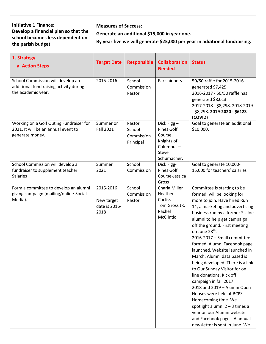**Initiative 1 Finance: Develop a financial plan so that the school becomes less dependent on the parish budget.**

**Measures of Success:**

**Generate an additional \$15,000 in year one.**

**By year five we will generate \$25,000 per year in additional fundraising.**

| 1. Strategy<br>a. Action Steps                                                                     | <b>Target Date</b>                               | <b>Responsible</b>                          | <b>Collaboration</b><br><b>Needed</b>                                                  | <b>Status</b>                                                                                                                                                                                                                                                                                                                                                                                                                                                                                                                                                                                                                                                                                                                     |
|----------------------------------------------------------------------------------------------------|--------------------------------------------------|---------------------------------------------|----------------------------------------------------------------------------------------|-----------------------------------------------------------------------------------------------------------------------------------------------------------------------------------------------------------------------------------------------------------------------------------------------------------------------------------------------------------------------------------------------------------------------------------------------------------------------------------------------------------------------------------------------------------------------------------------------------------------------------------------------------------------------------------------------------------------------------------|
| School Commission will develop an<br>additional fund raising activity during<br>the academic year. | 2015-2016                                        | School<br>Commission<br>Pastor              | Parishioners                                                                           | 50/50 raffle for 2015-2016<br>generated \$7,425.<br>2016-2017 - 50/50 raffle has<br>generated \$8,013.<br>2017-2018 - \$8,298. 2018-2019<br>- \$8,298. 2019-2020 - \$6123<br>(COVID)                                                                                                                                                                                                                                                                                                                                                                                                                                                                                                                                              |
| Working on a Golf Outing Fundraiser for<br>2021. It will be an annual event to<br>generate money.  | Summer or<br><b>Fall 2021</b>                    | Pastor<br>School<br>Commission<br>Principal | Dick Figg-<br>Pines Golf<br>Course.<br>Knights of<br>Columbus-<br>Steve<br>Schumacher. | Goal to generate an additional<br>\$10,000.                                                                                                                                                                                                                                                                                                                                                                                                                                                                                                                                                                                                                                                                                       |
| School Commission will develop a<br>fundraiser to supplement teacher<br><b>Salaries</b>            | Summer<br>2021                                   | School<br>Commission                        | Dick Figg-<br>Pines Golf<br>Course-Jessica<br>Gross                                    | Goal to generate 10,000-<br>15,000 for teachers' salaries                                                                                                                                                                                                                                                                                                                                                                                                                                                                                                                                                                                                                                                                         |
| Form a committee to develop an alumni<br>giving campaign (mailing/online-Social<br>Media).         | 2015-2016<br>New target<br>date is 2016-<br>2018 | School<br>Commission<br>Pastor              | Charla Miller<br>Heather<br>Curtiss<br>Tom Gross JR.<br>Rachel<br>McClintic            | Committee is starting to be<br>formed; will be looking for<br>more to join. Have hired Run<br>14, a marketing and advertising<br>business run by a former St. Joe<br>alumni to help get campaign<br>off the ground. First meeting<br>on June 28th.<br>2016-2017 - Small committee<br>formed. Alumni Facebook page<br>launched. Website launched in<br>March. Alumni data based is<br>being developed. There is a link<br>to Our Sunday Visitor for on<br>line donations. Kick off<br>campaign in fall 2017!<br>2018 and 2019 - Alumni Open<br>Houses were held at BCPS<br>Homecoming time. We<br>spotlight alumni $2 - 3$ times a<br>year on our Alumni website<br>and Facebook pages. A annual<br>newsletter is sent in June. We |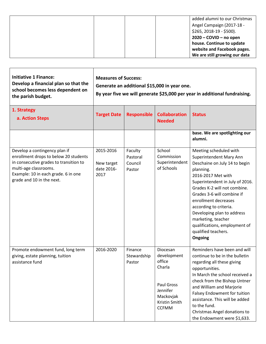|  | added alumni to our Christmas |
|--|-------------------------------|
|  | Angel Campaign (2017-18 -     |
|  | $$265, 2018-19 - $500$ ).     |
|  | $2020 - COVID - no open$      |
|  | house. Continue to update     |
|  | website and Facebook pages.   |
|  | We are still growing our data |

| <b>Initiative 1 Finance:</b><br>Develop a financial plan so that the<br>school becomes less dependent on<br>the parish budget.                                                                                | <b>Measures of Success:</b><br>Generate an additional \$15,000 in year one.<br>By year five we will generate \$25,000 per year in additional fundraising. |                                          |                                                                                                                            |                                                                                                                                                                                                                                                                                                                                                                                                 |  |
|---------------------------------------------------------------------------------------------------------------------------------------------------------------------------------------------------------------|-----------------------------------------------------------------------------------------------------------------------------------------------------------|------------------------------------------|----------------------------------------------------------------------------------------------------------------------------|-------------------------------------------------------------------------------------------------------------------------------------------------------------------------------------------------------------------------------------------------------------------------------------------------------------------------------------------------------------------------------------------------|--|
| 1. Strategy<br>a. Action Steps                                                                                                                                                                                | <b>Target Date</b>                                                                                                                                        | <b>Responsible</b>                       | <b>Collaboration</b><br><b>Needed</b>                                                                                      | <b>Status</b>                                                                                                                                                                                                                                                                                                                                                                                   |  |
|                                                                                                                                                                                                               |                                                                                                                                                           |                                          |                                                                                                                            | base. We are spotlighting our<br>alumni.                                                                                                                                                                                                                                                                                                                                                        |  |
| Develop a contingency plan if<br>enrollment drops to below 20 students<br>in consecutive grades to transition to<br>multi-age classrooms.<br>Example: 10 in each grade. 6 in one<br>grade and 10 in the next. | 2015-2016<br>New target<br>date 2016-<br>2017                                                                                                             | Faculty<br>Pastoral<br>Council<br>Pastor | School<br>Commission<br>Superintendent<br>of Schools                                                                       | Meeting scheduled with<br>Superintendent Mary Ann<br>Deschaine on July 14 to begin<br>planning.<br>2016-2017 Met with<br>Superintendent in July of 2016.<br>Grades K-2 will not combine.<br>Grades 3-6 will combine if<br>enrollment decreases<br>according to criteria.<br>Developing plan to address<br>marketing, teacher<br>qualifications, employment of<br>qualified teachers.<br>Ongoing |  |
| Promote endowment fund, long term<br>giving, estate planning, tuition<br>assistance fund                                                                                                                      | 2016-2020                                                                                                                                                 | Finance<br>Stewardship<br>Pastor         | <b>Diocesan</b><br>development<br>office<br>Charla<br>Paul Gross<br>Jennifer<br>Mackovjak<br>Kristin Smith<br><b>CCFMM</b> | Reminders have been and will<br>continue to be in the bulletin<br>regarding all these giving<br>opportunities.<br>In March the school received a<br>check from the Bishop Untner<br>and William and Marjorie<br>Falsey Endowment for tuition<br>assistance. This will be added<br>to the fund.<br>Christmas Angel donations to<br>the Endowment were \$1,633.                                   |  |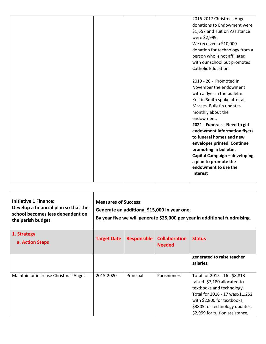|  |  | 2016-2017 Christmas Angel      |
|--|--|--------------------------------|
|  |  | donations to Endowment were    |
|  |  | \$1,657 and Tuition Assistance |
|  |  | were \$2,999.                  |
|  |  | We received a \$10,000         |
|  |  | donation for technology from a |
|  |  | person who is not affiliated   |
|  |  | with our school but promotes   |
|  |  | Catholic Education.            |
|  |  |                                |
|  |  | 2019 - 20 - Promoted in        |
|  |  | November the endowment         |
|  |  | with a flyer in the bulletin.  |
|  |  | Kristin Smith spoke after all  |
|  |  | Masses. Bulletin updates       |
|  |  | monthly about the              |
|  |  | endowment.                     |
|  |  | 2021 - Funerals - Need to get  |
|  |  | endowment information flyers   |
|  |  | to funeral homes and new       |
|  |  | envelopes printed. Continue    |
|  |  | promoting in bulletin.         |
|  |  | Capital Campaign - developing  |
|  |  | a plan to promote the          |
|  |  | endowment to use the           |
|  |  | interest                       |
|  |  |                                |

| <b>Initiative 1 Finance:</b><br>Develop a financial plan so that the<br>school becomes less dependent on<br>the parish budget. | <b>Measures of Success:</b><br>Generate an additional \$15,000 in year one.<br>By year five we will generate \$25,000 per year in additional fundraising. |                    |                                       |                                                                                                                                                                                                                                   |  |
|--------------------------------------------------------------------------------------------------------------------------------|-----------------------------------------------------------------------------------------------------------------------------------------------------------|--------------------|---------------------------------------|-----------------------------------------------------------------------------------------------------------------------------------------------------------------------------------------------------------------------------------|--|
| 1. Strategy<br>a. Action Steps                                                                                                 | <b>Target Date</b>                                                                                                                                        | <b>Responsible</b> | <b>Collaboration</b><br><b>Needed</b> | <b>Status</b>                                                                                                                                                                                                                     |  |
|                                                                                                                                |                                                                                                                                                           |                    |                                       | generated to raise teacher<br>salaries.                                                                                                                                                                                           |  |
| Maintain or increase Christmas Angels.                                                                                         | 2015-2020                                                                                                                                                 | Principal          | Parishioners                          | Total for 2015 - 16 - \$8,813<br>raised. \$7,180 allocated to<br>textbooks and technology.<br>Total for 2016 - 17 was\$11,252<br>with \$2,800 for textbooks,<br>\$3805 for technology updates,<br>\$2,999 for tuition assistance, |  |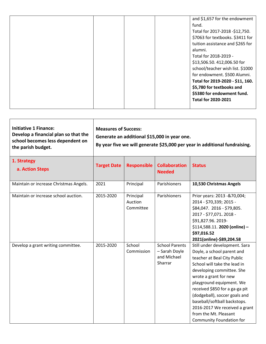|  |  | and \$1,657 for the endowment    |
|--|--|----------------------------------|
|  |  |                                  |
|  |  | fund.                            |
|  |  | Total for 2017-2018 -\$12,750.   |
|  |  | \$7063 for textbooks. \$3411 for |
|  |  | tuition assistance and \$265 for |
|  |  | alumni.                          |
|  |  | Total for 2018-2019 -            |
|  |  | \$13,506.50. 412,006.50 for      |
|  |  | school/teacher wish list. \$1000 |
|  |  | for endowment. \$500 Alumni.     |
|  |  | Total for 2019-2020 - \$11, 160. |
|  |  | \$5,780 for textbooks and        |
|  |  | \$5380 for endowment fund.       |
|  |  | <b>Total for 2020-2021</b>       |
|  |  |                                  |

| <b>Initiative 1 Finance:</b><br>Develop a financial plan so that the<br>school becomes less dependent on<br>the parish budget. | <b>Measures of Success:</b><br>Generate an additional \$15,000 in year one.<br>By year five we will generate \$25,000 per year in additional fundraising. |
|--------------------------------------------------------------------------------------------------------------------------------|-----------------------------------------------------------------------------------------------------------------------------------------------------------|
|--------------------------------------------------------------------------------------------------------------------------------|-----------------------------------------------------------------------------------------------------------------------------------------------------------|

| 1. Strategy<br>a. Action Steps         | <b>Target Date</b> | <b>Responsible</b>                | <b>Collaboration</b><br><b>Needed</b>                            | <b>Status</b>                                                                                                                                                                                                                                                                                                                                                                                         |
|----------------------------------------|--------------------|-----------------------------------|------------------------------------------------------------------|-------------------------------------------------------------------------------------------------------------------------------------------------------------------------------------------------------------------------------------------------------------------------------------------------------------------------------------------------------------------------------------------------------|
| Maintain or increase Christmas Angels. | 2021               | Principal                         | Parishioners                                                     | 10,530 Christmas Angels                                                                                                                                                                                                                                                                                                                                                                               |
| Maintain or increase school auction.   | 2015-2020          | Principal<br>Auction<br>Committee | Parishioners                                                     | Prior years: 2013 - & 70,004;<br>2014 - \$70,339; 2015 -<br>\$84,047. 2016 - \$79,805.<br>2017 - \$77,071.2018 -<br>\$91,827.96. 2019-<br>\$114,588.11. 2020 (online) -<br>\$97,016.52<br>2021(online)-\$89,204.58                                                                                                                                                                                    |
| Develop a grant writing committee.     | 2015-2020          | School<br>Commission              | <b>School Parents</b><br>- Sarah Doyle<br>and Michael<br>Sharrar | Still under development. Sara<br>Doyle, a school parent and<br>teacher at Beal City Public<br>School will take the lead in<br>developing committee. She<br>wrote a grant for new<br>playground equipment. We<br>received \$850 for a ga-ga pit<br>(dodgeball), soccer goals and<br>baseball/softball backstops.<br>2016-2017 We received a grant<br>from the Mt. Pleasant<br>Community Foundation for |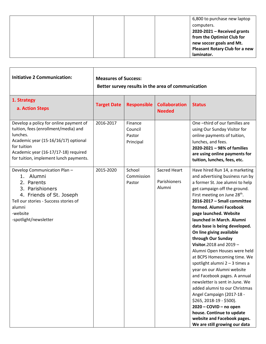|  | 6,800 to purchase new laptop          |
|--|---------------------------------------|
|  | computers.                            |
|  | $2020-2021$ – Received grants         |
|  | from the Optimist Club for            |
|  | new soccer goals and Mt.              |
|  | <b>Pleasant Rotary Club for a new</b> |
|  | laminator.                            |

| <b>Initiative 2 Communication:</b>                                                                                                                                                                                                  | <b>Measures of Success:</b><br>Better survey results in the area of communication |                                           |                                               |                                                                                                                                                                                                                                                                                                                                                                                                                                                                                                                                                                                                                                                                                                                                                                                                                                         |  |
|-------------------------------------------------------------------------------------------------------------------------------------------------------------------------------------------------------------------------------------|-----------------------------------------------------------------------------------|-------------------------------------------|-----------------------------------------------|-----------------------------------------------------------------------------------------------------------------------------------------------------------------------------------------------------------------------------------------------------------------------------------------------------------------------------------------------------------------------------------------------------------------------------------------------------------------------------------------------------------------------------------------------------------------------------------------------------------------------------------------------------------------------------------------------------------------------------------------------------------------------------------------------------------------------------------------|--|
| 1. Strategy<br>a. Action Steps                                                                                                                                                                                                      | <b>Target Date</b>                                                                | <b>Responsible</b>                        | <b>Collaboration</b><br><b>Needed</b>         | <b>Status</b>                                                                                                                                                                                                                                                                                                                                                                                                                                                                                                                                                                                                                                                                                                                                                                                                                           |  |
| Develop a policy for online payment of<br>tuition, fees (enrollment/media) and<br>lunches.<br>Academic year (15-16/16/17) optional<br>for tuition<br>Academic year (16-17/17-18) required<br>for tuition, implement lunch payments. | 2016-2017                                                                         | Finance<br>Council<br>Pastor<br>Principal |                                               | One-third of our families are<br>using Our Sunday Visitor for<br>online payments of tuition,<br>lunches, and fees.<br>2020-2021 - 98% of families<br>are using online payments for<br>tuition, lunches, fees, etc.                                                                                                                                                                                                                                                                                                                                                                                                                                                                                                                                                                                                                      |  |
| Develop Communication Plan-<br>1. Alumni<br>2. Parents<br>3. Parishioners<br>4. Friends of St. Joseph<br>Tell our stories - Success stories of<br>alumni<br>-website<br>-spotlight/newsletter                                       | 2015-2020                                                                         | School<br>Commission<br>Pastor            | <b>Sacred Heart</b><br>Parishioners<br>Alumni | Have hired Run 14, a marketing<br>and advertising business run by<br>a former St. Joe alumni to help<br>get campaign off the ground.<br>First meeting on June 28 <sup>th</sup> .<br>2016-2017 - Small committee<br>formed. Alumni Facebook<br>page launched. Website<br>launched in March. Alumni<br>data base is being developed.<br>On line giving available<br>through Our Sunday<br>Visitor. $2018$ and $2019 -$<br>Alumni Open Houses were held<br>at BCPS Homecoming time. We<br>spotlight alumni 2 - 3 times a<br>year on our Alumni website<br>and Facebook pages. A annual<br>newsletter is sent in June. We<br>added alumni to our Christmas<br>Angel Campaign (2017-18 -<br>$$265, 2018-19 - $500$ ).<br>2020 - COVID - no open<br>house. Continue to update<br>website and Facebook pages.<br>We are still growing our data |  |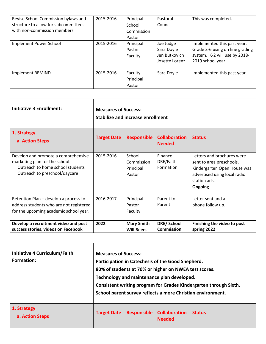| Revise School Commission bylaws and<br>structure to allow for subcommittees<br>with non-commission members. | 2015-2016 | Principal<br>School<br>Commission<br>Pastor | Pastoral<br>Council                                        | This was completed.                                                                                                  |
|-------------------------------------------------------------------------------------------------------------|-----------|---------------------------------------------|------------------------------------------------------------|----------------------------------------------------------------------------------------------------------------------|
| Implement Power School                                                                                      | 2015-2016 | Principal<br>Pastor<br>Faculty              | Joe Judge<br>Sara Doyle<br>Jen Butkovich<br>Josette Lorenz | Implemented this past year.<br>Grade 3-6 using on line grading<br>system. K-2 will use by 2018-<br>2019 school year. |
| Implement REMIND                                                                                            | 2015-2016 | Faculty<br>Principal<br>Pastor              | Sara Doyle                                                 | Implemented this past year.                                                                                          |

| <b>Initiative 3 Enrollment:</b>                                                                                                            | <b>Measures of Success:</b><br><b>Stabilize and increase enrollment</b> |                                             |                                        |                                                                                                                                                  |  |  |
|--------------------------------------------------------------------------------------------------------------------------------------------|-------------------------------------------------------------------------|---------------------------------------------|----------------------------------------|--------------------------------------------------------------------------------------------------------------------------------------------------|--|--|
| 1. Strategy<br>a. Action Steps                                                                                                             | <b>Target Date</b>                                                      | <b>Responsible</b>                          | <b>Collaboration</b><br><b>Needed</b>  | <b>Status</b>                                                                                                                                    |  |  |
| Develop and promote a comprehensive<br>marketing plan for the school.<br>Outreach to home school students<br>Outreach to preschool/daycare | 2015-2016                                                               | School<br>Commission<br>Principal<br>Pastor | Finance<br>DRE/Faith<br>Formation      | Letters and brochures were<br>sent to area preschools.<br>Kindergarten Open House was<br>advertised using local radio<br>station ads.<br>Ongoing |  |  |
| Retention Plan - develop a process to<br>address students who are not registered<br>for the upcoming academic school year.                 | 2016-2017                                                               | Principal<br>Pastor<br>Faculty              | Parent to<br>Parent                    | Letter sent and a<br>phone follow up.                                                                                                            |  |  |
| Develop a recruitment video and post<br>success stories, videos on Facebook                                                                | 2022                                                                    | <b>Mary Smith</b><br><b>Will Beers</b>      | <b>DRE/School</b><br><b>Commission</b> | Finishing the video to post<br>spring 2022                                                                                                       |  |  |

| Initiative 4 Curriculum/Faith<br>Formation: | <b>Measures of Success:</b><br>Participation in Catechesis of the Good Shepherd.<br>80% of students at 70% or higher on NWEA test scores.<br>Technology and maintenance plan developed.<br>Consistent writing program for Grades Kindergarten through Sixth.<br>School parent survey reflects a more Christian environment. |                    |                                       |               |  |  |
|---------------------------------------------|-----------------------------------------------------------------------------------------------------------------------------------------------------------------------------------------------------------------------------------------------------------------------------------------------------------------------------|--------------------|---------------------------------------|---------------|--|--|
| 1. Strategy<br>a. Action Steps              | <b>Target Date</b>                                                                                                                                                                                                                                                                                                          | <b>Responsible</b> | <b>Collaboration</b><br><b>Needed</b> | <b>Status</b> |  |  |